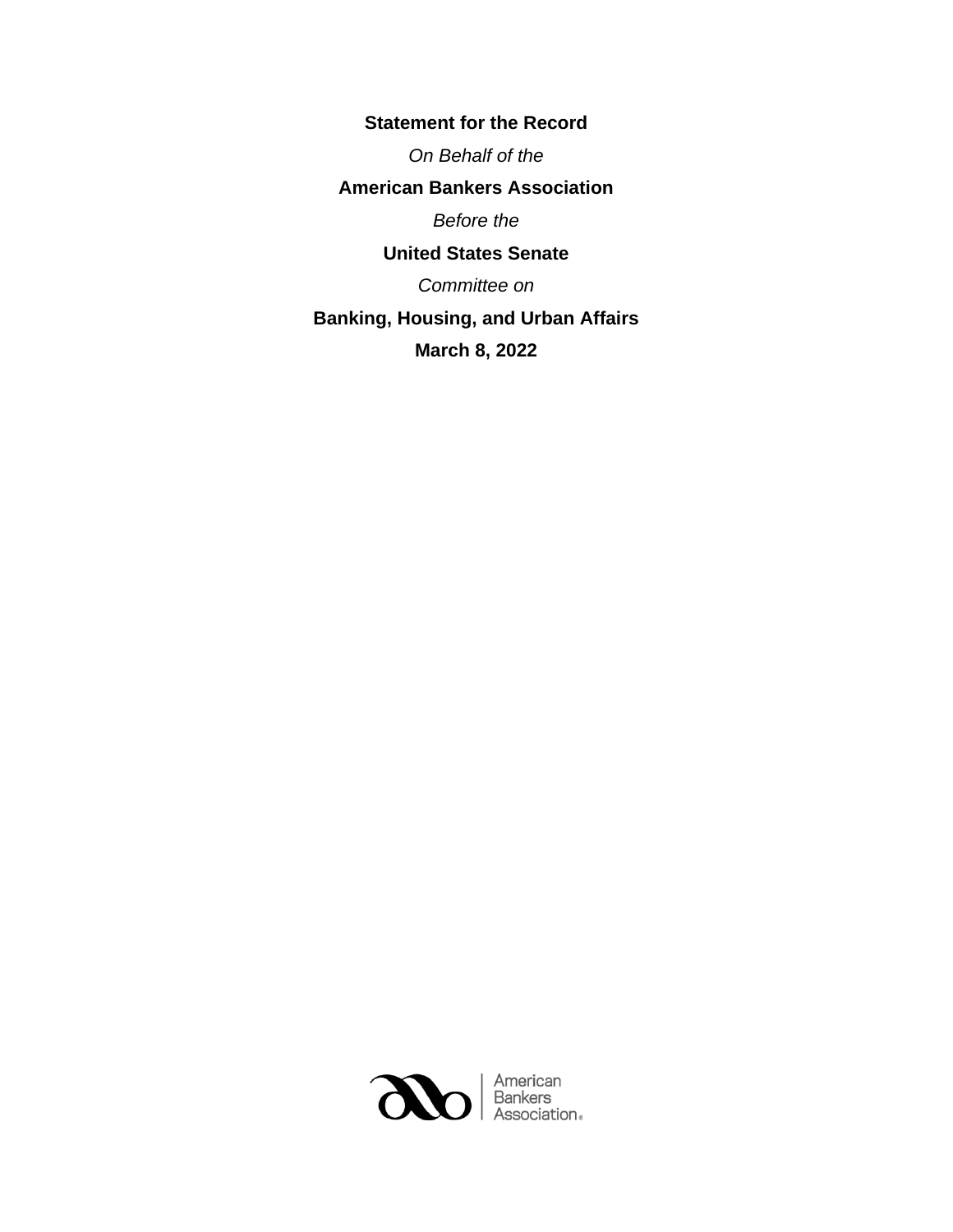**Statement for the Record** *On Behalf of the* **American Bankers Association** *Before the* **United States Senate** *Committee on* **Banking, Housing, and Urban Affairs March 8, 2022**

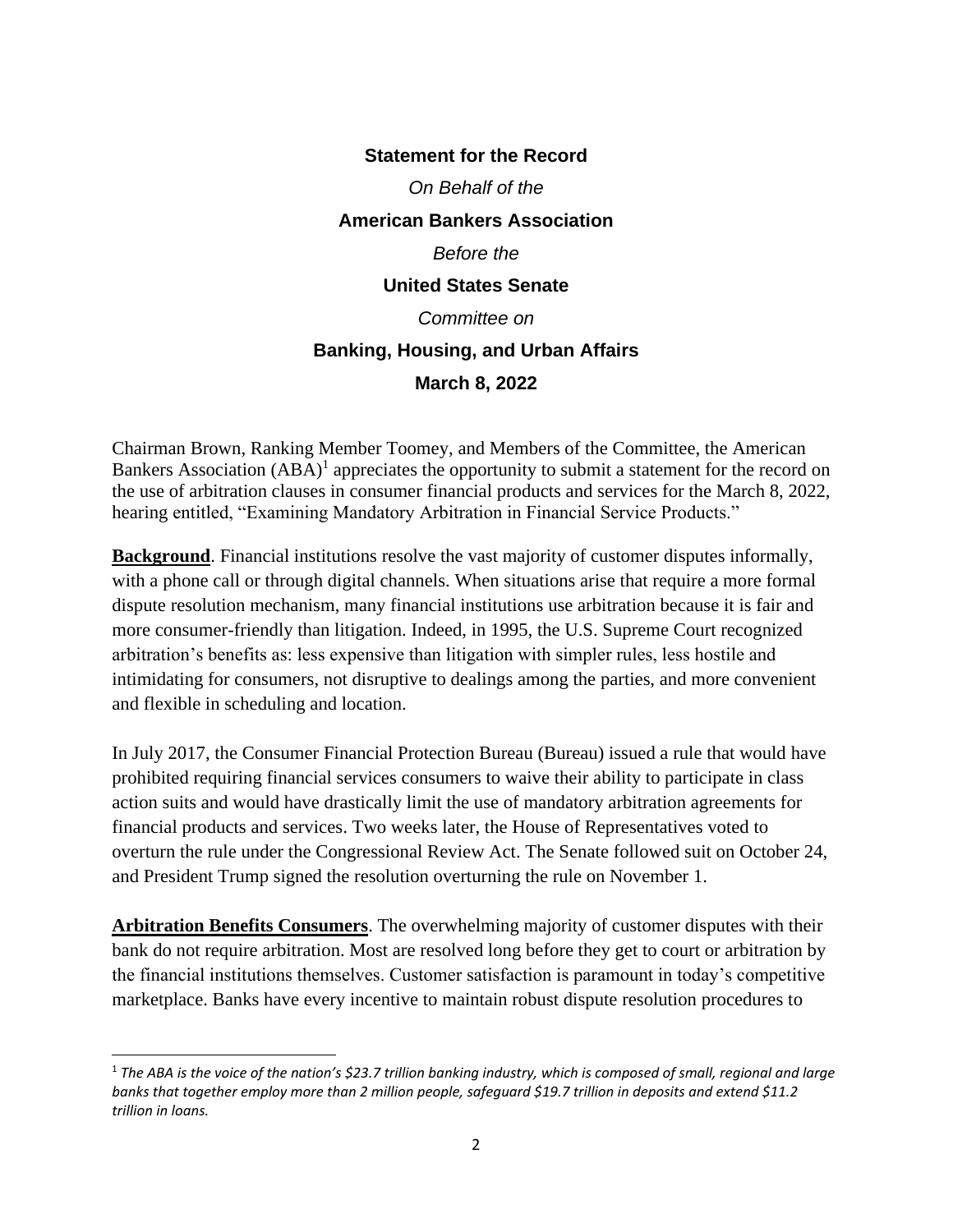## **Statement for the Record** *On Behalf of the* **American Bankers Association** *Before the* **United States Senate** *Committee on* **Banking, Housing, and Urban Affairs March 8, 2022**

Chairman Brown, Ranking Member Toomey, and Members of the Committee, the American Bankers Association (ABA)<sup>1</sup> appreciates the opportunity to submit a statement for the record on the use of arbitration clauses in consumer financial products and services for the March 8, 2022, hearing entitled, "Examining Mandatory Arbitration in Financial Service Products."

**Background**. Financial institutions resolve the vast majority of customer disputes informally, with a phone call or through digital channels. When situations arise that require a more formal dispute resolution mechanism, many financial institutions use arbitration because it is fair and more consumer-friendly than litigation. Indeed, in 1995, the U.S. Supreme Court recognized arbitration's benefits as: less expensive than litigation with simpler rules, less hostile and intimidating for consumers, not disruptive to dealings among the parties, and more convenient and flexible in scheduling and location.

In July 2017, the Consumer Financial Protection Bureau (Bureau) issued a rule that would have prohibited requiring financial services consumers to waive their ability to participate in class action suits and would have drastically limit the use of mandatory arbitration agreements for financial products and services. Two weeks later, the House of Representatives voted to overturn the rule under the Congressional Review Act. The Senate followed suit on October 24, and President Trump signed the resolution overturning the rule on November 1.

**Arbitration Benefits Consumers**. The overwhelming majority of customer disputes with their bank do not require arbitration. Most are resolved long before they get to court or arbitration by the financial institutions themselves. Customer satisfaction is paramount in today's competitive marketplace. Banks have every incentive to maintain robust dispute resolution procedures to

<sup>1</sup> *The ABA is the voice of the nation's \$23.7 trillion banking industry, which is composed of small, regional and large banks that together employ more than 2 million people, safeguard \$19.7 trillion in deposits and extend \$11.2 trillion in loans.*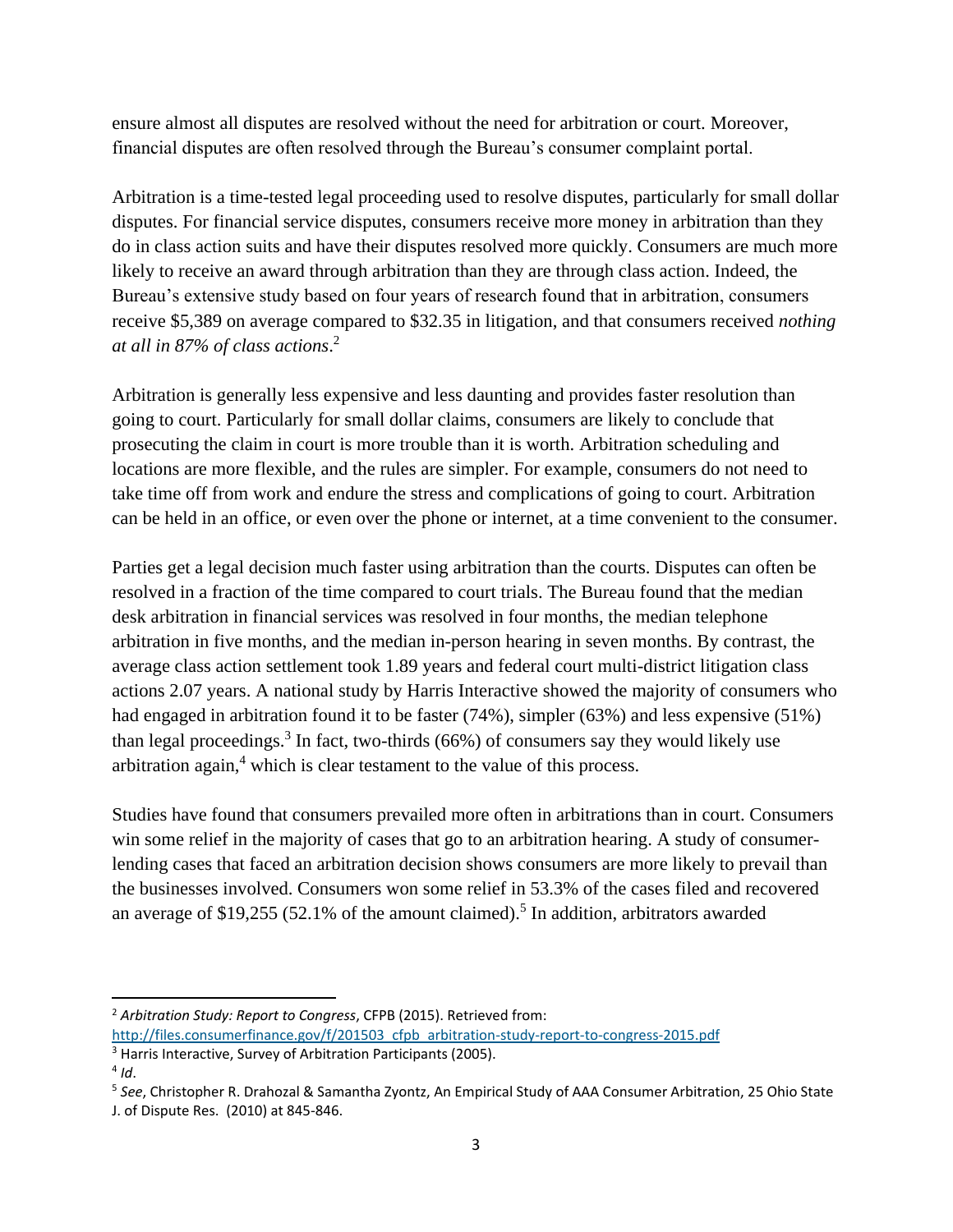ensure almost all disputes are resolved without the need for arbitration or court. Moreover, financial disputes are often resolved through the Bureau's consumer complaint portal.

Arbitration is a time-tested legal proceeding used to resolve disputes, particularly for small dollar disputes. For financial service disputes, consumers receive more money in arbitration than they do in class action suits and have their disputes resolved more quickly. Consumers are much more likely to receive an award through arbitration than they are through class action. Indeed, the Bureau's extensive study based on four years of research found that in arbitration, consumers receive \$5,389 on average compared to \$32.35 in litigation, and that consumers received *nothing at all in 87% of class actions*. 2

Arbitration is generally less expensive and less daunting and provides faster resolution than going to court. Particularly for small dollar claims, consumers are likely to conclude that prosecuting the claim in court is more trouble than it is worth. Arbitration scheduling and locations are more flexible, and the rules are simpler. For example, consumers do not need to take time off from work and endure the stress and complications of going to court. Arbitration can be held in an office, or even over the phone or internet, at a time convenient to the consumer.

Parties get a legal decision much faster using arbitration than the courts. Disputes can often be resolved in a fraction of the time compared to court trials. The Bureau found that the median desk arbitration in financial services was resolved in four months, the median telephone arbitration in five months, and the median in-person hearing in seven months. By contrast, the average class action settlement took 1.89 years and federal court multi-district litigation class actions 2.07 years. A national study by Harris Interactive showed the majority of consumers who had engaged in arbitration found it to be faster (74%), simpler (63%) and less expensive (51%) than legal proceedings.<sup>3</sup> In fact, two-thirds (66%) of consumers say they would likely use arbitration again, $4$  which is clear testament to the value of this process.

Studies have found that consumers prevailed more often in arbitrations than in court. Consumers win some relief in the majority of cases that go to an arbitration hearing. A study of consumerlending cases that faced an arbitration decision shows consumers are more likely to prevail than the businesses involved. Consumers won some relief in 53.3% of the cases filed and recovered an average of \$19,255 (52.1% of the amount claimed).<sup>5</sup> In addition, arbitrators awarded

<sup>2</sup> *Arbitration Study: Report to Congress*, CFPB (2015). Retrieved from:

[http://files.consumerfinance.gov/f/201503\\_cfpb\\_arbitration-study-report-to-congress-2015.pdf](http://files.consumerfinance.gov/f/201503_cfpb_arbitration-study-report-to-congress-2015.pdf)

<sup>&</sup>lt;sup>3</sup> Harris Interactive, Survey of Arbitration Participants (2005).

<sup>4</sup> *Id*.

<sup>5</sup> *See*, Christopher R. Drahozal & Samantha Zyontz, An Empirical Study of AAA Consumer Arbitration, 25 Ohio State J. of Dispute Res. (2010) at 845-846.